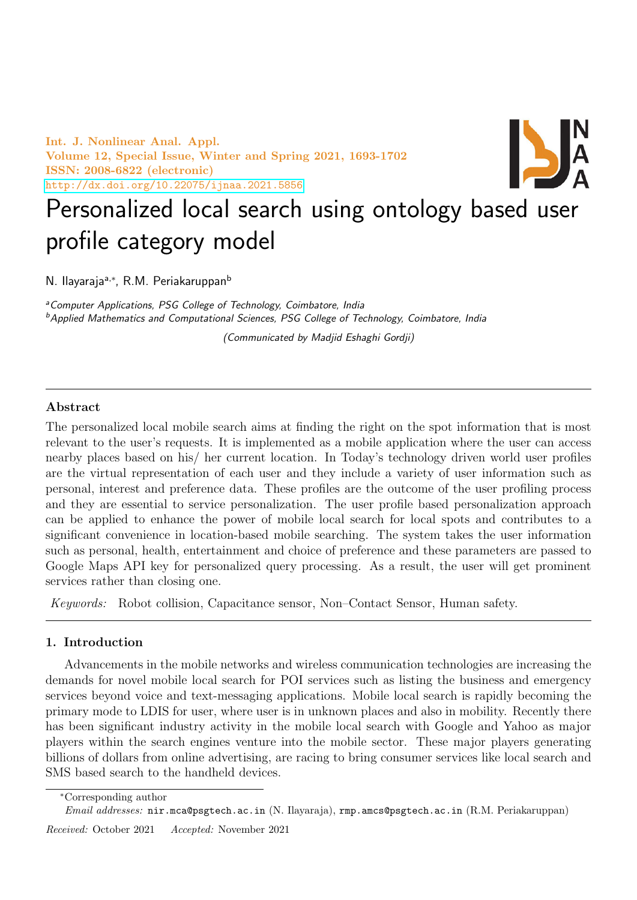Int. J. Nonlinear Anal. Appl. Volume 12, Special Issue, Winter and Spring 2021, 1693-1702 ISSN: 2008-6822 (electronic) <http://dx.doi.org/10.22075/ijnaa.2021.5856>



# Personalized local search using ontology based user profile category model

N. Ilayaraja<sup>a,∗</sup>, R.M. Periakaruppan<sup>b</sup>

<sup>a</sup> Computer Applications, PSG College of Technology, Coimbatore, India <sup>b</sup>Applied Mathematics and Computational Sciences, PSG College of Technology, Coimbatore, India

(Communicated by Madjid Eshaghi Gordji)

# Abstract

The personalized local mobile search aims at finding the right on the spot information that is most relevant to the user's requests. It is implemented as a mobile application where the user can access nearby places based on his/ her current location. In Today's technology driven world user profiles are the virtual representation of each user and they include a variety of user information such as personal, interest and preference data. These profiles are the outcome of the user profiling process and they are essential to service personalization. The user profile based personalization approach can be applied to enhance the power of mobile local search for local spots and contributes to a significant convenience in location-based mobile searching. The system takes the user information such as personal, health, entertainment and choice of preference and these parameters are passed to Google Maps API key for personalized query processing. As a result, the user will get prominent services rather than closing one.

Keywords: Robot collision, Capacitance sensor, Non–Contact Sensor, Human safety.

# 1. Introduction

Advancements in the mobile networks and wireless communication technologies are increasing the demands for novel mobile local search for POI services such as listing the business and emergency services beyond voice and text-messaging applications. Mobile local search is rapidly becoming the primary mode to LDIS for user, where user is in unknown places and also in mobility. Recently there has been significant industry activity in the mobile local search with Google and Yahoo as major players within the search engines venture into the mobile sector. These major players generating billions of dollars from online advertising, are racing to bring consumer services like local search and SMS based search to the handheld devices.

Received: October 2021 Accepted: November 2021

<sup>∗</sup>Corresponding author

Email addresses: nir.mca@psgtech.ac.in (N. Ilayaraja), rmp.amcs@psgtech.ac.in (R.M. Periakaruppan)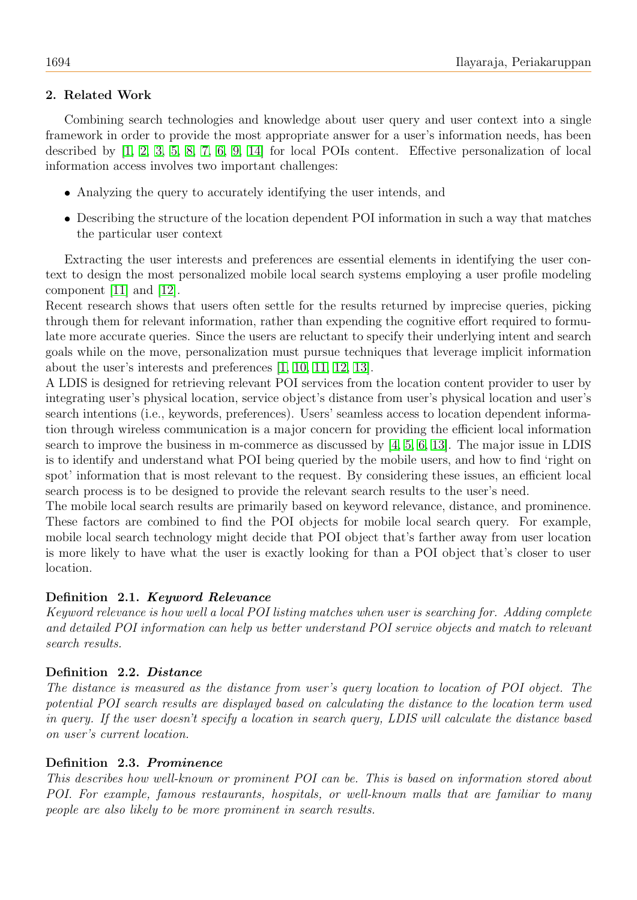# 2. Related Work

Combining search technologies and knowledge about user query and user context into a single framework in order to provide the most appropriate answer for a user's information needs, has been described by [\[1,](#page-8-0) [2,](#page-8-1) [3,](#page-8-2) [5,](#page-8-3) [8,](#page-8-4) [7,](#page-8-5) [6,](#page-8-6) [9,](#page-9-0) [14\]](#page-9-1) for local POIs content. Effective personalization of local information access involves two important challenges:

- Analyzing the query to accurately identifying the user intends, and
- Describing the structure of the location dependent POI information in such a way that matches the particular user context

Extracting the user interests and preferences are essential elements in identifying the user context to design the most personalized mobile local search systems employing a user profile modeling component [\[11\]](#page-9-2) and [\[12\]](#page-9-3).

Recent research shows that users often settle for the results returned by imprecise queries, picking through them for relevant information, rather than expending the cognitive effort required to formulate more accurate queries. Since the users are reluctant to specify their underlying intent and search goals while on the move, personalization must pursue techniques that leverage implicit information about the user's interests and preferences [\[1,](#page-8-0) [10,](#page-9-4) [11,](#page-9-2) [12,](#page-9-3) [13\]](#page-9-5).

A LDIS is designed for retrieving relevant POI services from the location content provider to user by integrating user's physical location, service object's distance from user's physical location and user's search intentions (i.e., keywords, preferences). Users' seamless access to location dependent information through wireless communication is a major concern for providing the efficient local information search to improve the business in m-commerce as discussed by [\[4,](#page-8-7) [5,](#page-8-3) [6,](#page-8-6) [13\]](#page-9-5). The major issue in LDIS is to identify and understand what POI being queried by the mobile users, and how to find 'right on spot' information that is most relevant to the request. By considering these issues, an efficient local search process is to be designed to provide the relevant search results to the user's need.

The mobile local search results are primarily based on keyword relevance, distance, and prominence. These factors are combined to find the POI objects for mobile local search query. For example, mobile local search technology might decide that POI object that's farther away from user location is more likely to have what the user is exactly looking for than a POI object that's closer to user location.

# Definition 2.1. Keyword Relevance

Keyword relevance is how well a local POI listing matches when user is searching for. Adding complete and detailed POI information can help us better understand POI service objects and match to relevant search results.

# Definition 2.2. Distance

The distance is measured as the distance from user's query location to location of POI object. The potential POI search results are displayed based on calculating the distance to the location term used in query. If the user doesn't specify a location in search query, LDIS will calculate the distance based on user's current location.

# Definition 2.3. Prominence

This describes how well-known or prominent POI can be. This is based on information stored about POI. For example, famous restaurants, hospitals, or well-known malls that are familiar to many people are also likely to be more prominent in search results.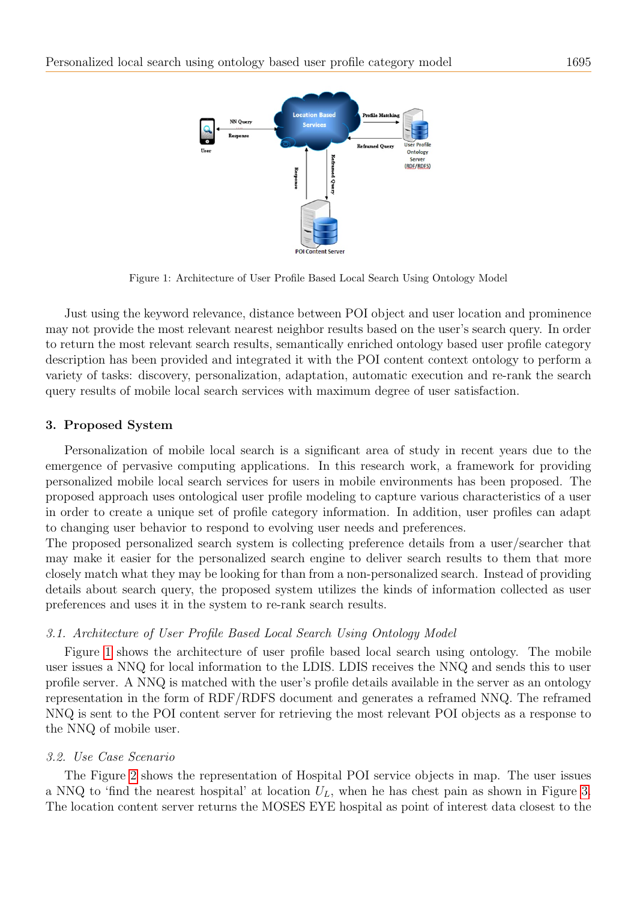<span id="page-2-0"></span>

Figure 1: Architecture of User Profile Based Local Search Using Ontology Model

Just using the keyword relevance, distance between POI object and user location and prominence may not provide the most relevant nearest neighbor results based on the user's search query. In order to return the most relevant search results, semantically enriched ontology based user profile category description has been provided and integrated it with the POI content context ontology to perform a variety of tasks: discovery, personalization, adaptation, automatic execution and re-rank the search query results of mobile local search services with maximum degree of user satisfaction.

#### 3. Proposed System

Personalization of mobile local search is a significant area of study in recent years due to the emergence of pervasive computing applications. In this research work, a framework for providing personalized mobile local search services for users in mobile environments has been proposed. The proposed approach uses ontological user profile modeling to capture various characteristics of a user in order to create a unique set of profile category information. In addition, user profiles can adapt to changing user behavior to respond to evolving user needs and preferences.

The proposed personalized search system is collecting preference details from a user/searcher that may make it easier for the personalized search engine to deliver search results to them that more closely match what they may be looking for than from a non-personalized search. Instead of providing details about search query, the proposed system utilizes the kinds of information collected as user preferences and uses it in the system to re-rank search results.

#### 3.1. Architecture of User Profile Based Local Search Using Ontology Model

Figure [1](#page-2-0) shows the architecture of user profile based local search using ontology. The mobile user issues a NNQ for local information to the LDIS. LDIS receives the NNQ and sends this to user profile server. A NNQ is matched with the user's profile details available in the server as an ontology representation in the form of RDF/RDFS document and generates a reframed NNQ. The reframed NNQ is sent to the POI content server for retrieving the most relevant POI objects as a response to the NNQ of mobile user.

#### 3.2. Use Case Scenario

The Figure [2](#page-3-0) shows the representation of Hospital POI service objects in map. The user issues a NNQ to 'find the nearest hospital' at location  $U_L$ , when he has chest pain as shown in Figure [3.](#page-4-0) The location content server returns the MOSES EYE hospital as point of interest data closest to the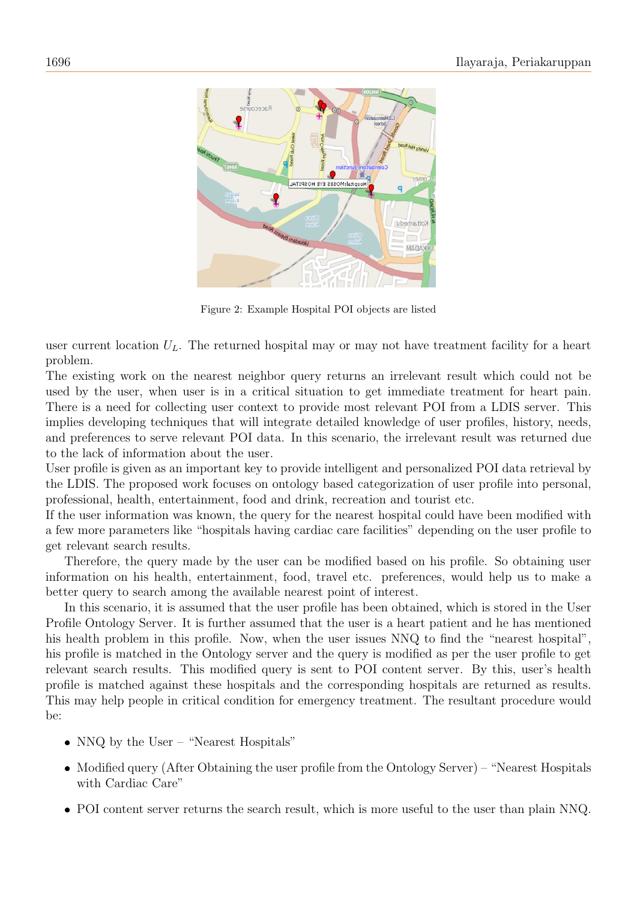

<span id="page-3-0"></span>Figure 2: Example Hospital POI objects are listed

user current location  $U_L$ . The returned hospital may or may not have treatment facility for a heart problem.

The existing work on the nearest neighbor query returns an irrelevant result which could not be used by the user, when user is in a critical situation to get immediate treatment for heart pain. There is a need for collecting user context to provide most relevant POI from a LDIS server. This implies developing techniques that will integrate detailed knowledge of user profiles, history, needs, and preferences to serve relevant POI data. In this scenario, the irrelevant result was returned due to the lack of information about the user.

User profile is given as an important key to provide intelligent and personalized POI data retrieval by the LDIS. The proposed work focuses on ontology based categorization of user profile into personal, professional, health, entertainment, food and drink, recreation and tourist etc.

If the user information was known, the query for the nearest hospital could have been modified with a few more parameters like "hospitals having cardiac care facilities" depending on the user profile to get relevant search results.

Therefore, the query made by the user can be modified based on his profile. So obtaining user information on his health, entertainment, food, travel etc. preferences, would help us to make a better query to search among the available nearest point of interest.

In this scenario, it is assumed that the user profile has been obtained, which is stored in the User Profile Ontology Server. It is further assumed that the user is a heart patient and he has mentioned his health problem in this profile. Now, when the user issues NNQ to find the "nearest hospital", his profile is matched in the Ontology server and the query is modified as per the user profile to get relevant search results. This modified query is sent to POI content server. By this, user's health profile is matched against these hospitals and the corresponding hospitals are returned as results. This may help people in critical condition for emergency treatment. The resultant procedure would be:

- NNQ by the User "Nearest Hospitals"
- Modified query (After Obtaining the user profile from the Ontology Server) "Nearest Hospitals with Cardiac Care"
- POI content server returns the search result, which is more useful to the user than plain NNQ.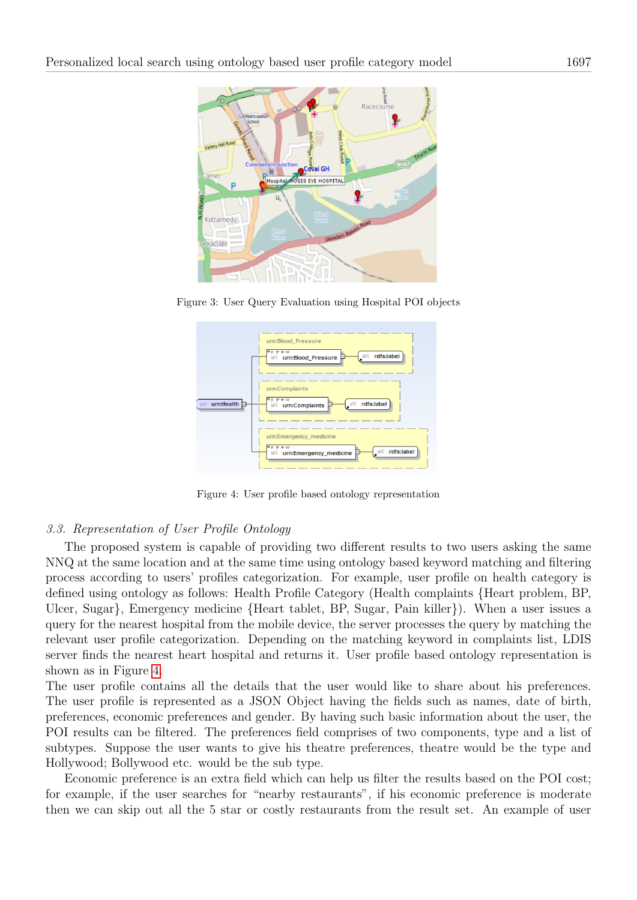

Figure 3: User Query Evaluation using Hospital POI objects

<span id="page-4-0"></span>

<span id="page-4-1"></span>Figure 4: User profile based ontology representation

### 3.3. Representation of User Profile Ontology

The proposed system is capable of providing two different results to two users asking the same NNQ at the same location and at the same time using ontology based keyword matching and filtering process according to users' profiles categorization. For example, user profile on health category is defined using ontology as follows: Health Profile Category (Health complaints {Heart problem, BP, Ulcer, Sugar}, Emergency medicine {Heart tablet, BP, Sugar, Pain killer}). When a user issues a query for the nearest hospital from the mobile device, the server processes the query by matching the relevant user profile categorization. Depending on the matching keyword in complaints list, LDIS server finds the nearest heart hospital and returns it. User profile based ontology representation is shown as in Figure [4.](#page-4-1)

The user profile contains all the details that the user would like to share about his preferences. The user profile is represented as a JSON Object having the fields such as names, date of birth, preferences, economic preferences and gender. By having such basic information about the user, the POI results can be filtered. The preferences field comprises of two components, type and a list of subtypes. Suppose the user wants to give his theatre preferences, theatre would be the type and Hollywood; Bollywood etc. would be the sub type.

Economic preference is an extra field which can help us filter the results based on the POI cost; for example, if the user searches for "nearby restaurants", if his economic preference is moderate then we can skip out all the 5 star or costly restaurants from the result set. An example of user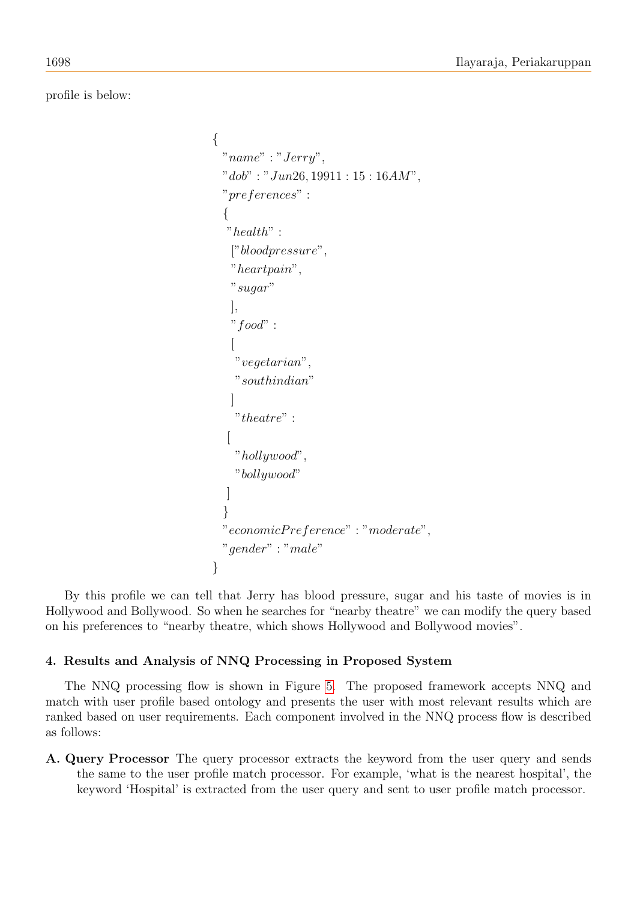profile is below:

```
{
 "name" : "Jerry",
 "dob": "Jun26, 19911 : 15 : 16AM",
 "preferences" :
 {
  "health" :
   ["bloodpressure",
   "heartpain",
   "sugar"
   ],
   "food" :
   [
   "vegetarian",
   "southindian"
   ]
    "theatre" :
  [
   "hollywood",
   "bollywood"
  ]
 }
 "economicP reference" : "moderate",
 "gender" : "male"
}
```
By this profile we can tell that Jerry has blood pressure, sugar and his taste of movies is in Hollywood and Bollywood. So when he searches for "nearby theatre" we can modify the query based on his preferences to "nearby theatre, which shows Hollywood and Bollywood movies".

# 4. Results and Analysis of NNQ Processing in Proposed System

The NNQ processing flow is shown in Figure [5.](#page-7-0) The proposed framework accepts NNQ and match with user profile based ontology and presents the user with most relevant results which are ranked based on user requirements. Each component involved in the NNQ process flow is described as follows:

A. Query Processor The query processor extracts the keyword from the user query and sends the same to the user profile match processor. For example, 'what is the nearest hospital', the keyword 'Hospital' is extracted from the user query and sent to user profile match processor.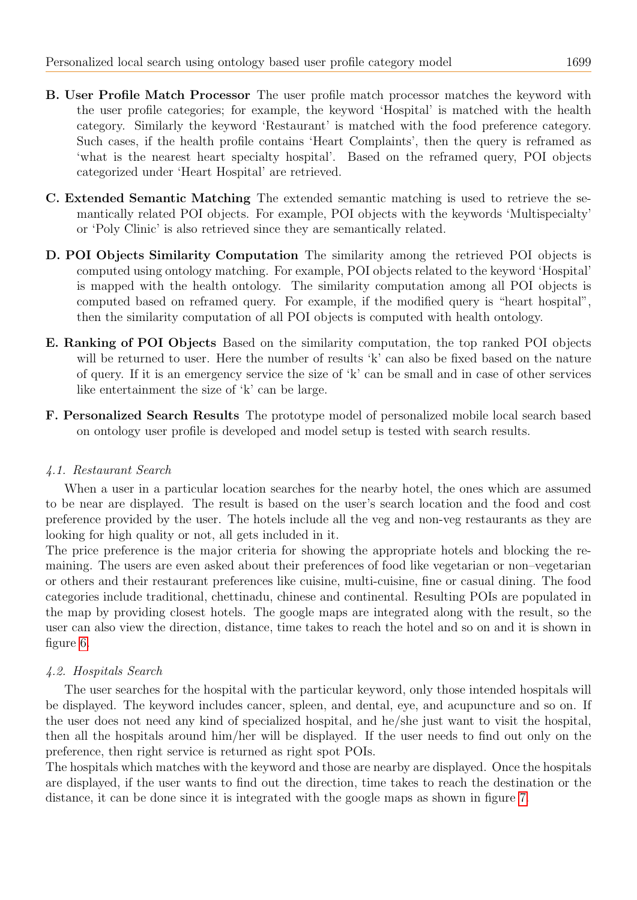- B. User Profile Match Processor The user profile match processor matches the keyword with the user profile categories; for example, the keyword 'Hospital' is matched with the health category. Similarly the keyword 'Restaurant' is matched with the food preference category. Such cases, if the health profile contains 'Heart Complaints', then the query is reframed as 'what is the nearest heart specialty hospital'. Based on the reframed query, POI objects categorized under 'Heart Hospital' are retrieved.
- C. Extended Semantic Matching The extended semantic matching is used to retrieve the semantically related POI objects. For example, POI objects with the keywords 'Multispecialty' or 'Poly Clinic' is also retrieved since they are semantically related.
- D. POI Objects Similarity Computation The similarity among the retrieved POI objects is computed using ontology matching. For example, POI objects related to the keyword 'Hospital' is mapped with the health ontology. The similarity computation among all POI objects is computed based on reframed query. For example, if the modified query is "heart hospital", then the similarity computation of all POI objects is computed with health ontology.
- E. Ranking of POI Objects Based on the similarity computation, the top ranked POI objects will be returned to user. Here the number of results 'k' can also be fixed based on the nature of query. If it is an emergency service the size of 'k' can be small and in case of other services like entertainment the size of 'k' can be large.
- F. Personalized Search Results The prototype model of personalized mobile local search based on ontology user profile is developed and model setup is tested with search results.

# 4.1. Restaurant Search

When a user in a particular location searches for the nearby hotel, the ones which are assumed to be near are displayed. The result is based on the user's search location and the food and cost preference provided by the user. The hotels include all the veg and non-veg restaurants as they are looking for high quality or not, all gets included in it.

The price preference is the major criteria for showing the appropriate hotels and blocking the remaining. The users are even asked about their preferences of food like vegetarian or non–vegetarian or others and their restaurant preferences like cuisine, multi-cuisine, fine or casual dining. The food categories include traditional, chettinadu, chinese and continental. Resulting POIs are populated in the map by providing closest hotels. The google maps are integrated along with the result, so the user can also view the direction, distance, time takes to reach the hotel and so on and it is shown in figure [6.](#page-7-1)

# 4.2. Hospitals Search

The user searches for the hospital with the particular keyword, only those intended hospitals will be displayed. The keyword includes cancer, spleen, and dental, eye, and acupuncture and so on. If the user does not need any kind of specialized hospital, and he/she just want to visit the hospital, then all the hospitals around him/her will be displayed. If the user needs to find out only on the preference, then right service is returned as right spot POIs.

The hospitals which matches with the keyword and those are nearby are displayed. Once the hospitals are displayed, if the user wants to find out the direction, time takes to reach the destination or the distance, it can be done since it is integrated with the google maps as shown in figure [7.](#page-8-8)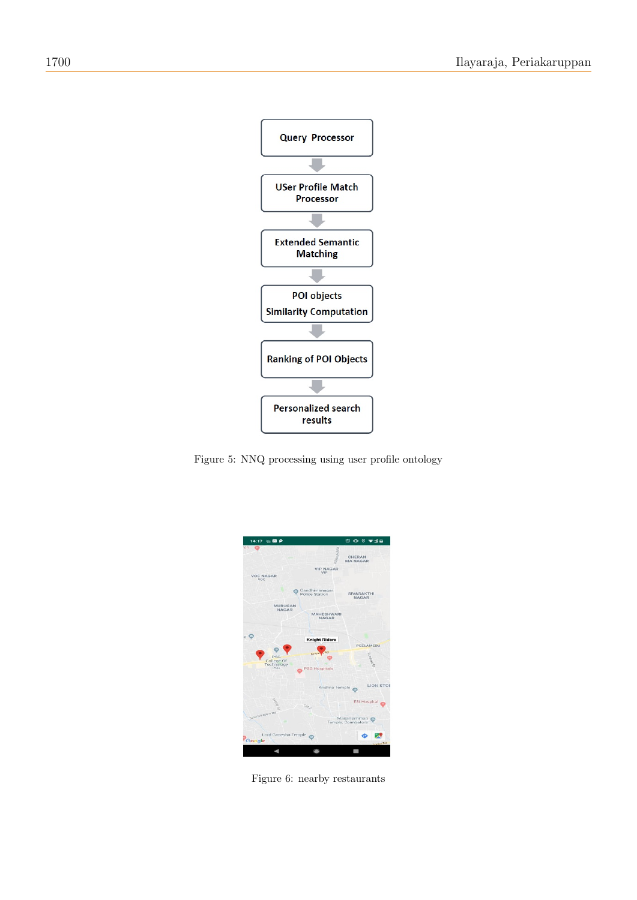

Figure 5: NNQ processing using user profile ontology

<span id="page-7-0"></span>

<span id="page-7-1"></span>Figure 6: nearby restaurants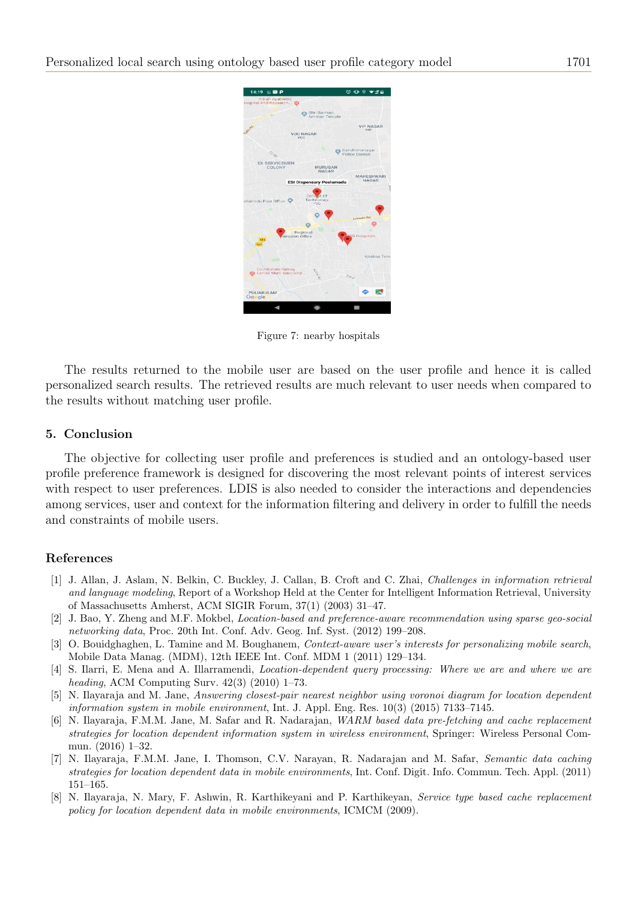<span id="page-8-8"></span>

Figure 7: nearby hospitals

The results returned to the mobile user are based on the user profile and hence it is called personalized search results. The retrieved results are much relevant to user needs when compared to the results without matching user profile.

#### 5. Conclusion

The objective for collecting user profile and preferences is studied and an ontology-based user profile preference framework is designed for discovering the most relevant points of interest services with respect to user preferences. LDIS is also needed to consider the interactions and dependencies among services, user and context for the information filtering and delivery in order to fulfill the needs and constraints of mobile users.

#### References

- <span id="page-8-0"></span>[1] J. Allan, J. Aslam, N. Belkin, C. Buckley, J. Callan, B. Croft and C. Zhai, Challenges in information retrieval and language modeling, Report of a Workshop Held at the Center for Intelligent Information Retrieval, University of Massachusetts Amherst, ACM SIGIR Forum, 37(1) (2003) 31–47.
- <span id="page-8-1"></span>[2] J. Bao, Y. Zheng and M.F. Mokbel, Location-based and preference-aware recommendation using sparse geo-social networking data, Proc. 20th Int. Conf. Adv. Geog. Inf. Syst. (2012) 199–208.
- <span id="page-8-2"></span>[3] O. Bouidghaghen, L. Tamine and M. Boughanem, *Context-aware user's interests for personalizing mobile search*, Mobile Data Manag. (MDM), 12th IEEE Int. Conf. MDM 1 (2011) 129–134.
- <span id="page-8-7"></span>[4] S. Ilarri, E. Mena and A. Illarramendi, Location-dependent query processing: Where we are and where we are heading, ACM Computing Surv. 42(3) (2010) 1–73.
- <span id="page-8-3"></span>[5] N. Ilayaraja and M. Jane, Answering closest-pair nearest neighbor using voronoi diagram for location dependent information system in mobile environment, Int. J. Appl. Eng. Res. 10(3) (2015) 7133–7145.
- <span id="page-8-6"></span>[6] N. Ilayaraja, F.M.M. Jane, M. Safar and R. Nadarajan, WARM based data pre-fetching and cache replacement strategies for location dependent information system in wireless environment, Springer: Wireless Personal Commun. (2016) 1–32.
- <span id="page-8-5"></span>[7] N. Ilayaraja, F.M.M. Jane, I. Thomson, C.V. Narayan, R. Nadarajan and M. Safar, Semantic data caching strategies for location dependent data in mobile environments, Int. Conf. Digit. Info. Commun. Tech. Appl. (2011) 151–165.
- <span id="page-8-4"></span>[8] N. Ilayaraja, N. Mary, F. Ashwin, R. Karthikeyani and P. Karthikeyan, Service type based cache replacement policy for location dependent data in mobile environments, ICMCM (2009).